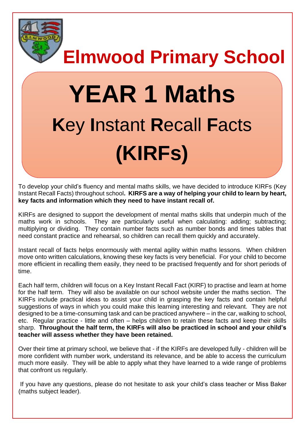

**Elmwood Primary School**

# **YEAR 1 Maths K**ey **I**nstant **R**ecall **F**acts **(KIRFs)**

To develop your child's fluency and mental maths skills, we have decided to introduce KIRFs (Key Instant Recall Facts) throughout school**. KIRFS are a way of helping your child to learn by heart, key facts and information which they need to have instant recall of.** 

KIRFs are designed to support the development of mental maths skills that underpin much of the maths work in schools. They are particularly useful when calculating: adding; subtracting; multiplying or dividing. They contain number facts such as number bonds and times tables that need constant practice and rehearsal, so children can recall them quickly and accurately.

Instant recall of facts helps enormously with mental agility within maths lessons. When children move onto written calculations, knowing these key facts is very beneficial. For your child to become more efficient in recalling them easily, they need to be practised frequently and for short periods of time.

Each half term, children will focus on a Key Instant Recall Fact (KIRF) to practise and learn at home for the half term. They will also be available on our school website under the maths section. The KIRFs include practical ideas to assist your child in grasping the key facts and contain helpful suggestions of ways in which you could make this learning interesting and relevant.They are not designed to be a time-consuming task and can be practiced anywhere – in the car, walking to school, etc. Regular practice - little and often – helps children to retain these facts and keep their skills sharp. **Throughout the half term, the KIRFs will also be practiced in school and your child's teacher will assess whether they have been retained.** 

Over their time at primary school, we believe that - if the KIRFs are developed fully - children will be more confident with number work, understand its relevance, and be able to access the curriculum much more easily. They will be able to apply what they have learned to a wide range of problems that confront us regularly.

If you have any questions, please do not hesitate to ask your child's class teacher or Miss Baker (maths subject leader).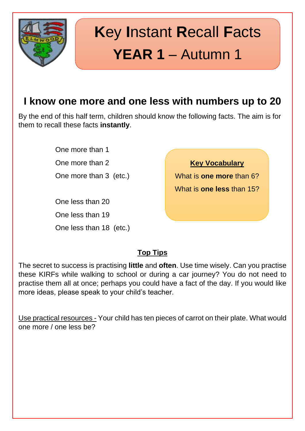

# **K**ey **I**nstant **R**ecall **F**acts **YEAR 1** – Autumn 1

### **I know one more and one less with numbers up to 20**

By the end of this half term, children should know the following facts. The aim is for them to recall these facts **instantly**.

> One more than 1 One more than 2 One more than 3 (etc.)

> One less than 20 One less than 19 One less than 18 (etc.)

**Key Vocabulary** What is **one more** than 6? What is **one less** than 15?

#### **Top Tips**

The secret to success is practising **little** and **often**. Use time wisely. Can you practise these KIRFs while walking to school or during a car journey? You do not need to practise them all at once; perhaps you could have a fact of the day. If you would like more ideas, please speak to your child's teacher.

Use practical resources - Your child has ten pieces of carrot on their plate. What would one more / one less be?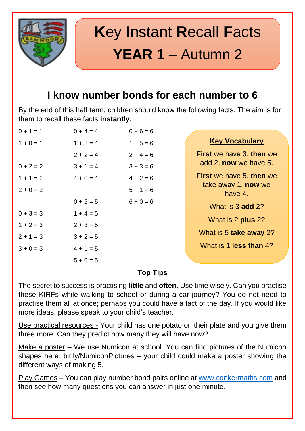

# **K**ey **I**nstant **R**ecall **F**acts **YEAR 1** – Autumn 2

### **I know number bonds for each number to 6**

By the end of this half term, children should know the following facts. The aim is for them to recall these facts **instantly**.

| $0 + 1 = 1$ | $0 + 4 = 4$ | $0 + 6 = 6$ |                                       |
|-------------|-------------|-------------|---------------------------------------|
| $1 + 0 = 1$ | $1 + 3 = 4$ | $1 + 5 = 6$ | <b>Key Vocabulary</b>                 |
|             | $2 + 2 = 4$ | $2 + 4 = 6$ | <b>First we have 3, then we</b>       |
| $0 + 2 = 2$ | $3 + 1 = 4$ | $3 + 3 = 6$ | add 2, now we have 5.                 |
| $1 + 1 = 2$ | $4 + 0 = 4$ | $4 + 2 = 6$ | <b>First we have 5, then we</b>       |
| $2 + 0 = 2$ |             | $5 + 1 = 6$ | take away 1, <b>now</b> we<br>have 4. |
|             | $0 + 5 = 5$ | $6 + 0 = 6$ | What is 3 add 2?                      |
| $0 + 3 = 3$ | $1 + 4 = 5$ |             |                                       |
| $1 + 2 = 3$ | $2 + 3 = 5$ |             | What is 2 plus 2?                     |
| $2 + 1 = 3$ | $3 + 2 = 5$ |             | What is 5 take away 2?                |
| $3 + 0 = 3$ | $4 + 1 = 5$ |             | What is 1 <b>less than</b> 4?         |
|             | $5 + 0 = 5$ |             |                                       |

### **Top Tips**

The secret to success is practising **little** and **often**. Use time wisely. Can you practise these KIRFs while walking to school or during a car journey? You do not need to practise them all at once; perhaps you could have a fact of the day. If you would like more ideas, please speak to your child's teacher.

Use practical resources - Your child has one potato on their plate and you give them three more. Can they predict how many they will have now?

Make a poster – We use Numicon at school. You can find pictures of the Numicon shapes here: bit.ly/NumiconPictures – your child could make a poster showing the different ways of making 5.

Play Games – You can play number bond pairs online at [www.conkermaths.com](http://www.conkermaths.com/) and then see how many questions you can answer in just one minute.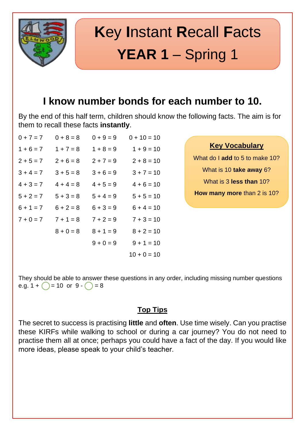

# **K**ey **I**nstant **R**ecall **F**acts **YEAR 1** – Spring 1

### **I know number bonds for each number to 10.**

By the end of this half term, children should know the following facts. The aim is for them to recall these facts **instantly**.

| $0 + 7 = 7$ | $0 + 8 = 8$ | $0 + 9 = 9$ | $0 + 10 = 10$ |
|-------------|-------------|-------------|---------------|
| $1 + 6 = 7$ | $1 + 7 = 8$ | $1 + 8 = 9$ | $1 + 9 = 10$  |
| $2 + 5 = 7$ | $2 + 6 = 8$ | $2 + 7 = 9$ | $2 + 8 = 10$  |
| $3 + 4 = 7$ | $3 + 5 = 8$ | $3 + 6 = 9$ | $3 + 7 = 10$  |
| $4 + 3 = 7$ | $4 + 4 = 8$ | $4 + 5 = 9$ | $4 + 6 = 10$  |
| $5 + 2 = 7$ | $5 + 3 = 8$ | $5 + 4 = 9$ | $5 + 5 = 10$  |
| $6 + 1 = 7$ | $6 + 2 = 8$ | $6 + 3 = 9$ | $6 + 4 = 10$  |
| $7 + 0 = 7$ | $7 + 1 = 8$ | $7 + 2 = 9$ | $7 + 3 = 10$  |
|             | $8 + 0 = 8$ | $8 + 1 = 9$ | $8 + 2 = 10$  |
|             |             | $9 + 0 = 9$ | $9 + 1 = 10$  |
|             |             |             | $10 + 0 = 10$ |

**Key Vocabulary**

What do I **add** to 5 to make 10?

What is 10 **take away** 6?

What is 3 **less than** 10?

**How many more** than 2 is 10?

They should be able to answer these questions in any order, including missing number questions e.g.  $1 + \bigcirc = 10$  or  $9 - \bigcirc = 8$ 

#### **Top Tips**

The secret to success is practising **little** and **often**. Use time wisely. Can you practise these KIRFs while walking to school or during a car journey? You do not need to practise them all at once; perhaps you could have a fact of the day. If you would like more ideas, please speak to your child's teacher.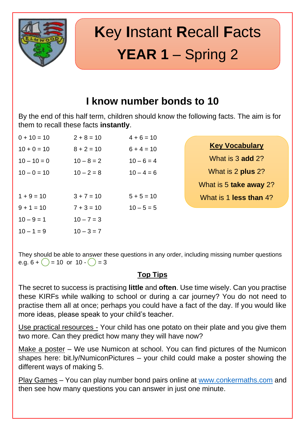

# **K**ey **I**nstant **R**ecall **F**acts **YEAR 1** – Spring 2

### **I know number bonds to 10**

By the end of this half term, children should know the following facts. The aim is for them to recall these facts **instantly**.

| $0 + 10 = 10$ | $2 + 8 = 10$ | $4 + 6 = 10$ |
|---------------|--------------|--------------|
| $10 + 0 = 10$ | $8 + 2 = 10$ | $6 + 4 = 10$ |
| $10 - 10 = 0$ | $10 - 8 = 2$ | $10 - 6 = 4$ |
| $10 - 0 = 10$ | $10 - 2 = 8$ | $10 - 4 = 6$ |
|               |              |              |
| $1 + 9 = 10$  | $3 + 7 = 10$ | $5 + 5 = 10$ |
| $9 + 1 = 10$  | $7 + 3 = 10$ | $10 - 5 = 5$ |
| $10 - 9 = 1$  | $10 - 7 = 3$ |              |
| $10 - 1 = 9$  | $10 - 3 = 7$ |              |

| <b>Key Vocabulary</b> |  |
|-----------------------|--|
|                       |  |

What is 3 **add** 2? What is 2 **plus** 2? What is 5 **take away** 2?

What is 1 **less than** 4?

They should be able to answer these questions in any order, including missing number questions e.g.  $6 + ( ) = 10$  or  $10 - ( ) = 3$ 

#### **Top Tips**

The secret to success is practising **little** and **often**. Use time wisely. Can you practise these KIRFs while walking to school or during a car journey? You do not need to practise them all at once; perhaps you could have a fact of the day. If you would like more ideas, please speak to your child's teacher.

Use practical resources - Your child has one potato on their plate and you give them two more. Can they predict how many they will have now?

Make a poster – We use Numicon at school. You can find pictures of the Numicon shapes here: bit.ly/NumiconPictures – your child could make a poster showing the different ways of making 5.

Play Games – You can play number bond pairs online at [www.conkermaths.com](http://www.conkermaths.com/) and then see how many questions you can answer in just one minute.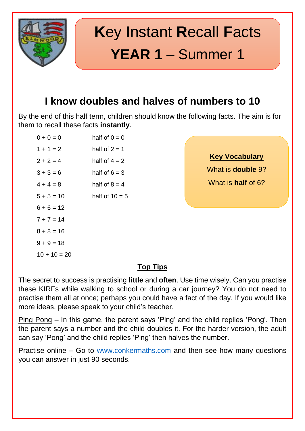

# **K**ey **I**nstant **R**ecall **F**acts **YEAR 1** – Summer 1

### **I know doubles and halves of numbers to 10**

By the end of this half term, children should know the following facts. The aim is for them to recall these facts **instantly**.

| $0 + 0 = 0$    | half of $0 = 0$  |
|----------------|------------------|
| $1 + 1 = 2$    | half of $2 = 1$  |
| $2 + 2 = 4$    | half of $4 = 2$  |
| $3 + 3 = 6$    | half of $6 = 3$  |
| $4 + 4 = 8$    | half of $8 = 4$  |
| $5 + 5 = 10$   | half of $10 = 5$ |
| $6 + 6 = 12$   |                  |
| $7 + 7 = 14$   |                  |
| $8 + 8 = 16$   |                  |
| $9 + 9 = 18$   |                  |
| $10 + 10 = 20$ |                  |
|                |                  |

**Key Vocabulary**

What is **double** 9?

What is **half** of 6?

#### **Top Tips**

The secret to success is practising **little** and **often**. Use time wisely. Can you practise these KIRFs while walking to school or during a car journey? You do not need to practise them all at once; perhaps you could have a fact of the day. If you would like more ideas, please speak to your child's teacher.

Ping Pong – In this game, the parent says 'Ping' and the child replies 'Pong'. Then the parent says a number and the child doubles it. For the harder version, the adult can say 'Pong' and the child replies 'Ping' then halves the number.

Practise online – Go to [www.conkermaths.com](http://www.conkermaths.com/) and then see how many questions you can answer in just 90 seconds.